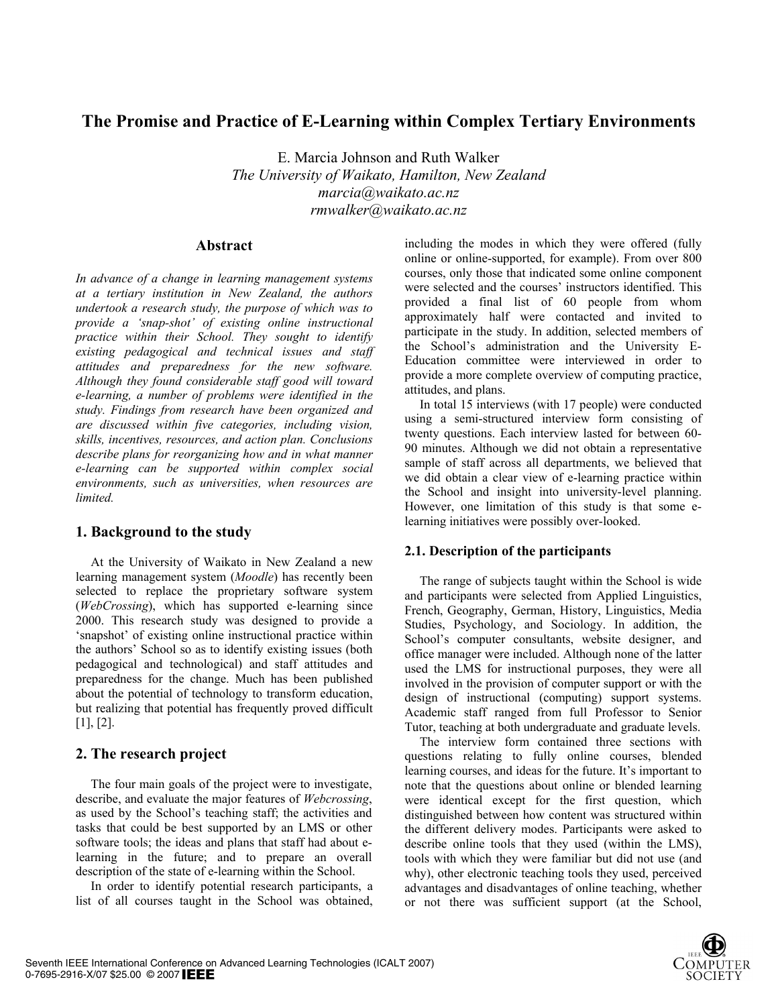# **The Promise and Practice of E-Learning within Complex Tertiary Environments**

E. Marcia Johnson and Ruth Walker *The University of Waikato, Hamilton, New Zealand marcia@waikato.ac.nz rmwalker@waikato.ac.nz*

#### **Abstract**

*In advance of a change in learning management systems at a tertiary institution in New Zealand, the authors undertook a research study, the purpose of which was to provide a 'snap-shot' of existing online instructional practice within their School. They sought to identify existing pedagogical and technical issues and staff attitudes and preparedness for the new software. Although they found considerable staff good will toward e-learning, a number of problems were identified in the study. Findings from research have been organized and are discussed within five categories, including vision, skills, incentives, resources, and action plan. Conclusions describe plans for reorganizing how and in what manner e-learning can be supported within complex social environments, such as universities, when resources are limited.*

### **1. Background to the study**

At the University of Waikato in New Zealand a new learning management system (*Moodle*) has recently been selected to replace the proprietary software system (*WebCrossing*), which has supported e-learning since 2000. This research study was designed to provide a 'snapshot' of existing online instructional practice within the authors' School so as to identify existing issues (both pedagogical and technological) and staff attitudes and preparedness for the change. Much has been published about the potential of technology to transform education, but realizing that potential has frequently proved difficult [1], [2].

# **2. The research project**

The four main goals of the project were to investigate, describe, and evaluate the major features of *Webcrossing*, as used by the School's teaching staff; the activities and tasks that could be best supported by an LMS or other software tools; the ideas and plans that staff had about elearning in the future; and to prepare an overall description of the state of e-learning within the School.

In order to identify potential research participants, a list of all courses taught in the School was obtained, including the modes in which they were offered (fully online or online-supported, for example). From over 800 courses, only those that indicated some online component were selected and the courses' instructors identified. This provided a final list of 60 people from whom approximately half were contacted and invited to participate in the study. In addition, selected members of the School's administration and the University E-Education committee were interviewed in order to provide a more complete overview of computing practice, attitudes, and plans.

In total 15 interviews (with 17 people) were conducted using a semi-structured interview form consisting of twenty questions. Each interview lasted for between 60- 90 minutes. Although we did not obtain a representative sample of staff across all departments, we believed that we did obtain a clear view of e-learning practice within the School and insight into university-level planning. However, one limitation of this study is that some elearning initiatives were possibly over-looked.

### **2.1. Description of the participants**

The range of subjects taught within the School is wide and participants were selected from Applied Linguistics, French, Geography, German, History, Linguistics, Media Studies, Psychology, and Sociology. In addition, the School's computer consultants, website designer, and office manager were included. Although none of the latter used the LMS for instructional purposes, they were all involved in the provision of computer support or with the design of instructional (computing) support systems. Academic staff ranged from full Professor to Senior Tutor, teaching at both undergraduate and graduate levels.

The interview form contained three sections with questions relating to fully online courses, blended learning courses, and ideas for the future. It's important to note that the questions about online or blended learning were identical except for the first question, which distinguished between how content was structured within the different delivery modes. Participants were asked to describe online tools that they used (within the LMS), tools with which they were familiar but did not use (and why), other electronic teaching tools they used, perceived advantages and disadvantages of online teaching, whether or not there was sufficient support (at the School,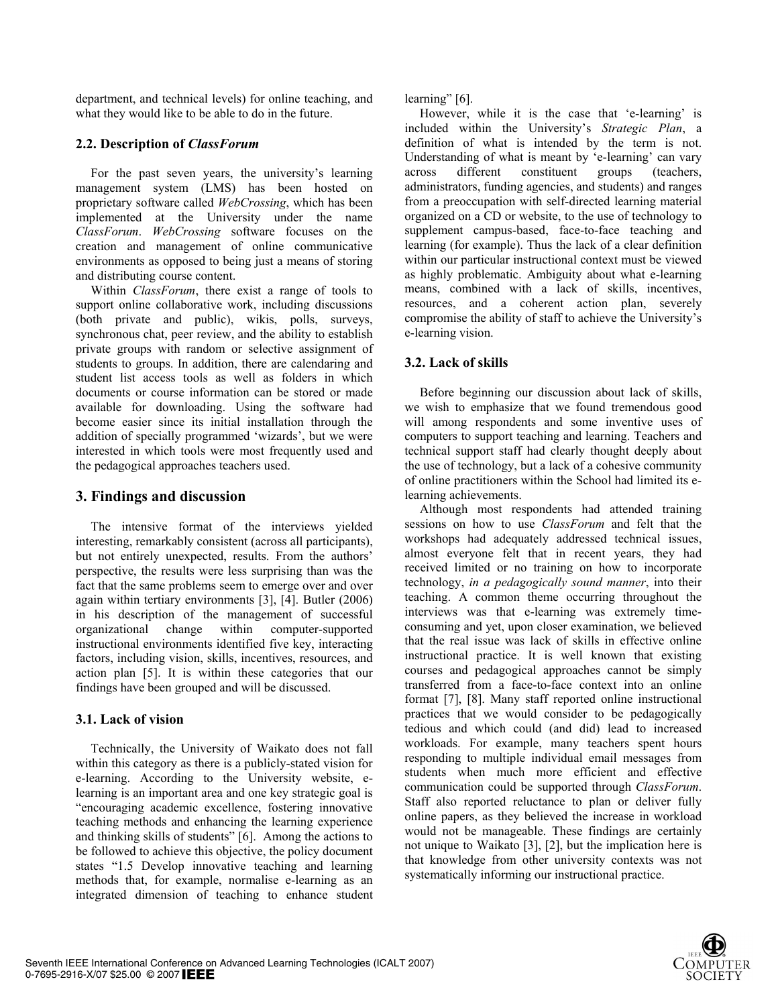department, and technical levels) for online teaching, and what they would like to be able to do in the future.

## **2.2. Description of** *ClassForum*

For the past seven years, the university's learning management system (LMS) has been hosted on proprietary software called *WebCrossing*, which has been implemented at the University under the name *ClassForum*. *WebCrossing* software focuses on the creation and management of online communicative environments as opposed to being just a means of storing and distributing course content.

Within *ClassForum*, there exist a range of tools to support online collaborative work, including discussions (both private and public), wikis, polls, surveys, synchronous chat, peer review, and the ability to establish private groups with random or selective assignment of students to groups. In addition, there are calendaring and student list access tools as well as folders in which documents or course information can be stored or made available for downloading. Using the software had become easier since its initial installation through the addition of specially programmed 'wizards', but we were interested in which tools were most frequently used and the pedagogical approaches teachers used.

# **3. Findings and discussion**

The intensive format of the interviews yielded interesting, remarkably consistent (across all participants), but not entirely unexpected, results. From the authors' perspective, the results were less surprising than was the fact that the same problems seem to emerge over and over again within tertiary environments [3], [4]. Butler (2006) in his description of the management of successful organizational change within computer-supported instructional environments identified five key, interacting factors, including vision, skills, incentives, resources, and action plan [5]. It is within these categories that our findings have been grouped and will be discussed.

# **3.1. Lack of vision**

Technically, the University of Waikato does not fall within this category as there is a publicly-stated vision for e-learning. According to the University website, elearning is an important area and one key strategic goal is "encouraging academic excellence, fostering innovative teaching methods and enhancing the learning experience and thinking skills of students" [6]. Among the actions to be followed to achieve this objective, the policy document states "1.5 Develop innovative teaching and learning methods that, for example, normalise e-learning as an integrated dimension of teaching to enhance student learning" [6].

However, while it is the case that 'e-learning' is included within the University's *Strategic Plan*, a definition of what is intended by the term is not. Understanding of what is meant by 'e-learning' can vary across different constituent groups (teachers, administrators, funding agencies, and students) and ranges from a preoccupation with self-directed learning material organized on a CD or website, to the use of technology to supplement campus-based, face-to-face teaching and learning (for example). Thus the lack of a clear definition within our particular instructional context must be viewed as highly problematic. Ambiguity about what e-learning means, combined with a lack of skills, incentives, resources, and a coherent action plan, severely compromise the ability of staff to achieve the University's e-learning vision.

# **3.2. Lack of skills**

Before beginning our discussion about lack of skills, we wish to emphasize that we found tremendous good will among respondents and some inventive uses of computers to support teaching and learning. Teachers and technical support staff had clearly thought deeply about the use of technology, but a lack of a cohesive community of online practitioners within the School had limited its elearning achievements.

Although most respondents had attended training sessions on how to use *ClassForum* and felt that the workshops had adequately addressed technical issues, almost everyone felt that in recent years, they had received limited or no training on how to incorporate technology, *in a pedagogically sound manner*, into their teaching. A common theme occurring throughout the interviews was that e-learning was extremely timeconsuming and yet, upon closer examination, we believed that the real issue was lack of skills in effective online instructional practice. It is well known that existing courses and pedagogical approaches cannot be simply transferred from a face-to-face context into an online format [7], [8]. Many staff reported online instructional practices that we would consider to be pedagogically tedious and which could (and did) lead to increased workloads. For example, many teachers spent hours responding to multiple individual email messages from students when much more efficient and effective communication could be supported through *ClassForum*. Staff also reported reluctance to plan or deliver fully online papers, as they believed the increase in workload would not be manageable. These findings are certainly not unique to Waikato [3], [2], but the implication here is that knowledge from other university contexts was not systematically informing our instructional practice.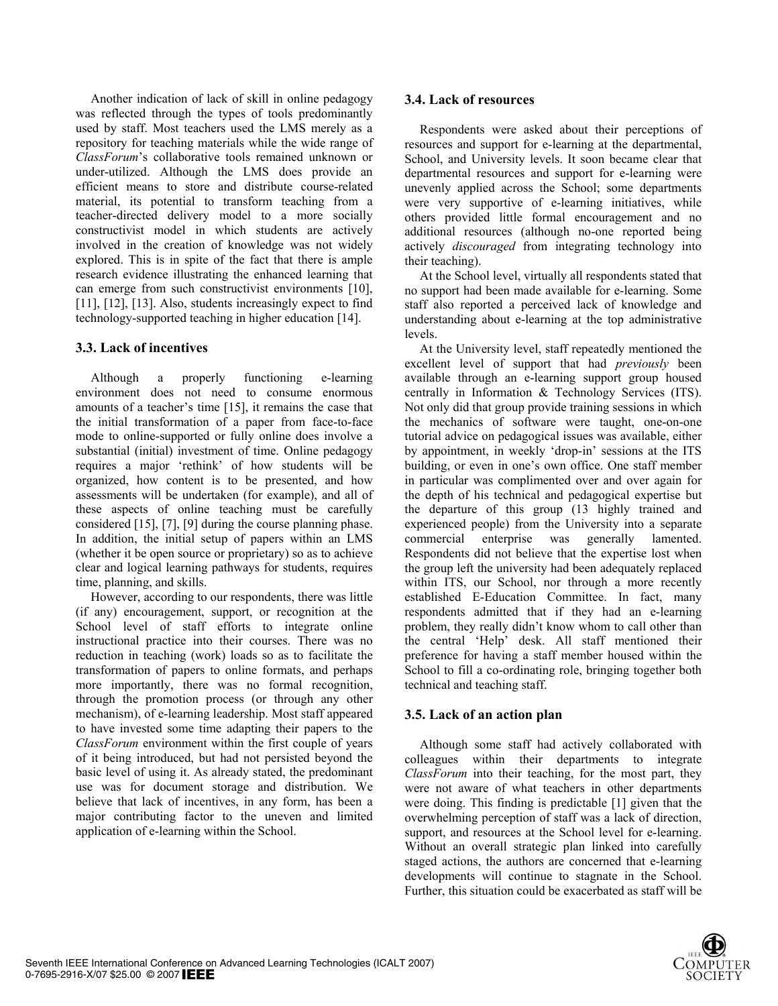Another indication of lack of skill in online pedagogy was reflected through the types of tools predominantly used by staff. Most teachers used the LMS merely as a repository for teaching materials while the wide range of *ClassForum*'s collaborative tools remained unknown or under-utilized. Although the LMS does provide an efficient means to store and distribute course-related material, its potential to transform teaching from a teacher-directed delivery model to a more socially constructivist model in which students are actively involved in the creation of knowledge was not widely explored. This is in spite of the fact that there is ample research evidence illustrating the enhanced learning that can emerge from such constructivist environments [10], [11], [12], [13]. Also, students increasingly expect to find technology-supported teaching in higher education [14].

#### **3.3. Lack of incentives**

Although a properly functioning e-learning environment does not need to consume enormous amounts of a teacher's time [15], it remains the case that the initial transformation of a paper from face-to-face mode to online-supported or fully online does involve a substantial (initial) investment of time. Online pedagogy requires a major 'rethink' of how students will be organized, how content is to be presented, and how assessments will be undertaken (for example), and all of these aspects of online teaching must be carefully considered [15], [7], [9] during the course planning phase. In addition, the initial setup of papers within an LMS (whether it be open source or proprietary) so as to achieve clear and logical learning pathways for students, requires time, planning, and skills.

However, according to our respondents, there was little (if any) encouragement, support, or recognition at the School level of staff efforts to integrate online instructional practice into their courses. There was no reduction in teaching (work) loads so as to facilitate the transformation of papers to online formats, and perhaps more importantly, there was no formal recognition, through the promotion process (or through any other mechanism), of e-learning leadership. Most staff appeared to have invested some time adapting their papers to the *ClassForum* environment within the first couple of years of it being introduced, but had not persisted beyond the basic level of using it. As already stated, the predominant use was for document storage and distribution. We believe that lack of incentives, in any form, has been a major contributing factor to the uneven and limited application of e-learning within the School.

#### **3.4. Lack of resources**

Respondents were asked about their perceptions of resources and support for e-learning at the departmental, School, and University levels. It soon became clear that departmental resources and support for e-learning were unevenly applied across the School; some departments were very supportive of e-learning initiatives, while others provided little formal encouragement and no additional resources (although no-one reported being actively *discouraged* from integrating technology into their teaching).

At the School level, virtually all respondents stated that no support had been made available for e-learning. Some staff also reported a perceived lack of knowledge and understanding about e-learning at the top administrative levels.

At the University level, staff repeatedly mentioned the excellent level of support that had *previously* been available through an e-learning support group housed centrally in Information & Technology Services (ITS). Not only did that group provide training sessions in which the mechanics of software were taught, one-on-one tutorial advice on pedagogical issues was available, either by appointment, in weekly 'drop-in' sessions at the ITS building, or even in one's own office. One staff member in particular was complimented over and over again for the depth of his technical and pedagogical expertise but the departure of this group (13 highly trained and experienced people) from the University into a separate commercial enterprise was generally lamented. Respondents did not believe that the expertise lost when the group left the university had been adequately replaced within ITS, our School, nor through a more recently established E-Education Committee. In fact, many respondents admitted that if they had an e-learning problem, they really didn't know whom to call other than the central 'Help' desk. All staff mentioned their preference for having a staff member housed within the School to fill a co-ordinating role, bringing together both technical and teaching staff.

### **3.5. Lack of an action plan**

Although some staff had actively collaborated with colleagues within their departments to integrate *ClassForum* into their teaching, for the most part, they were not aware of what teachers in other departments were doing. This finding is predictable [1] given that the overwhelming perception of staff was a lack of direction, support, and resources at the School level for e-learning. Without an overall strategic plan linked into carefully staged actions, the authors are concerned that e-learning developments will continue to stagnate in the School. Further, this situation could be exacerbated as staff will be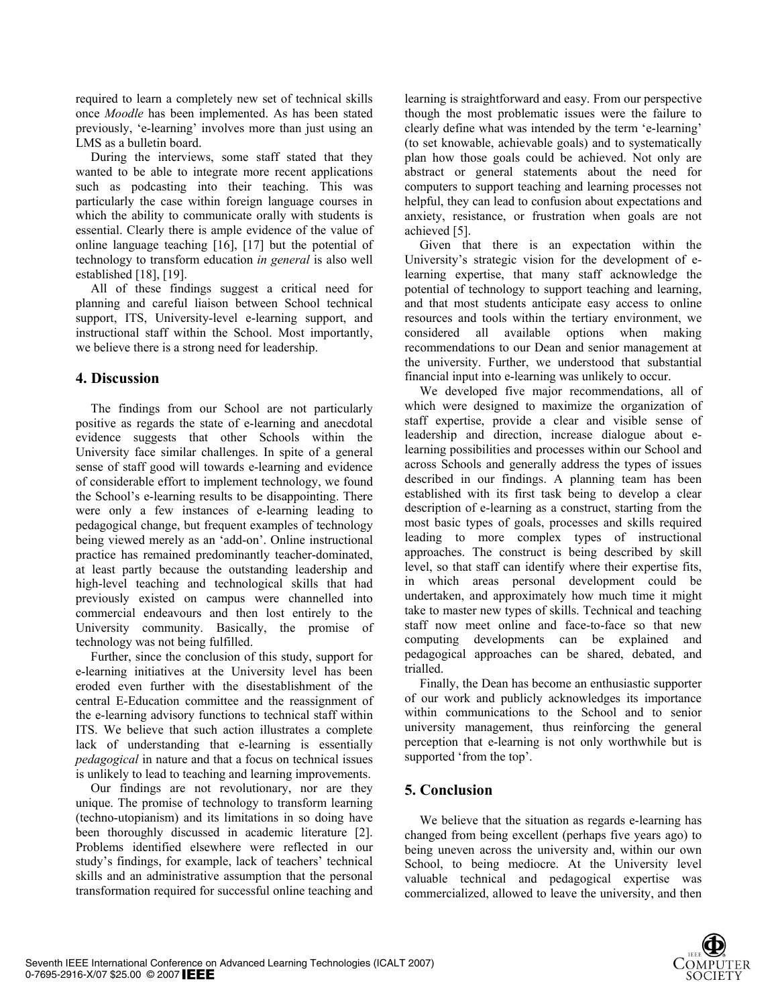required to learn a completely new set of technical skills once *Moodle* has been implemented. As has been stated previously, 'e-learning' involves more than just using an LMS as a bulletin board.

During the interviews, some staff stated that they wanted to be able to integrate more recent applications such as podcasting into their teaching. This was particularly the case within foreign language courses in which the ability to communicate orally with students is essential. Clearly there is ample evidence of the value of online language teaching [16], [17] but the potential of technology to transform education *in general* is also well established [18], [19].

All of these findings suggest a critical need for planning and careful liaison between School technical support, ITS, University-level e-learning support, and instructional staff within the School. Most importantly, we believe there is a strong need for leadership.

## **4. Discussion**

The findings from our School are not particularly positive as regards the state of e-learning and anecdotal evidence suggests that other Schools within the University face similar challenges. In spite of a general sense of staff good will towards e-learning and evidence of considerable effort to implement technology, we found the School's e-learning results to be disappointing. There were only a few instances of e-learning leading to pedagogical change, but frequent examples of technology being viewed merely as an 'add-on'. Online instructional practice has remained predominantly teacher-dominated, at least partly because the outstanding leadership and high-level teaching and technological skills that had previously existed on campus were channelled into commercial endeavours and then lost entirely to the University community. Basically, the promise of technology was not being fulfilled.

Further, since the conclusion of this study, support for e-learning initiatives at the University level has been eroded even further with the disestablishment of the central E-Education committee and the reassignment of the e-learning advisory functions to technical staff within ITS. We believe that such action illustrates a complete lack of understanding that e-learning is essentially *pedagogical* in nature and that a focus on technical issues is unlikely to lead to teaching and learning improvements.

Our findings are not revolutionary, nor are they unique. The promise of technology to transform learning (techno-utopianism) and its limitations in so doing have been thoroughly discussed in academic literature [2]. Problems identified elsewhere were reflected in our study's findings, for example, lack of teachers' technical skills and an administrative assumption that the personal transformation required for successful online teaching and

learning is straightforward and easy. From our perspective though the most problematic issues were the failure to clearly define what was intended by the term 'e-learning' (to set knowable, achievable goals) and to systematically plan how those goals could be achieved. Not only are abstract or general statements about the need for computers to support teaching and learning processes not helpful, they can lead to confusion about expectations and anxiety, resistance, or frustration when goals are not achieved [5].

Given that there is an expectation within the University's strategic vision for the development of elearning expertise, that many staff acknowledge the potential of technology to support teaching and learning, and that most students anticipate easy access to online resources and tools within the tertiary environment, we considered all available options when making recommendations to our Dean and senior management at the university. Further, we understood that substantial financial input into e-learning was unlikely to occur.

We developed five major recommendations, all of which were designed to maximize the organization of staff expertise, provide a clear and visible sense of leadership and direction, increase dialogue about elearning possibilities and processes within our School and across Schools and generally address the types of issues described in our findings. A planning team has been established with its first task being to develop a clear description of e-learning as a construct, starting from the most basic types of goals, processes and skills required leading to more complex types of instructional approaches. The construct is being described by skill level, so that staff can identify where their expertise fits, in which areas personal development could be undertaken, and approximately how much time it might take to master new types of skills. Technical and teaching staff now meet online and face-to-face so that new computing developments can be explained and pedagogical approaches can be shared, debated, and trialled.

Finally, the Dean has become an enthusiastic supporter of our work and publicly acknowledges its importance within communications to the School and to senior university management, thus reinforcing the general perception that e-learning is not only worthwhile but is supported 'from the top'.

# **5. Conclusion**

We believe that the situation as regards e-learning has changed from being excellent (perhaps five years ago) to being uneven across the university and, within our own School, to being mediocre. At the University level valuable technical and pedagogical expertise was commercialized, allowed to leave the university, and then